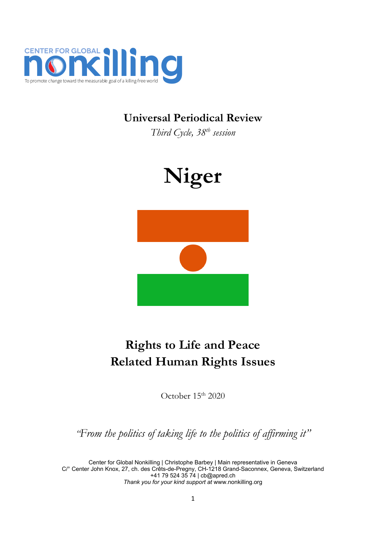

# **Universal Periodical Review**

*Third Cycle, <sup>38</sup>th session*



# **Rights to Life and Peace Related Human Rights Issues**

October 15<sup>th</sup> 2020

*"From the politics of taking life to the politics of affirming it"*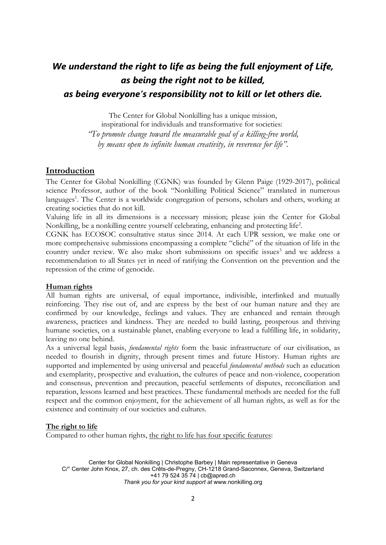# *We understand the right to life as being the full enjoyment of Life, as being the right not to be killed, as being everyone'<sup>s</sup> responsibility not to kill or let others die.*

The Center for Global Nonkilling has <sup>a</sup> unique mission,

inspirational for individuals and transformative for societies: *"To promote change toward the measurable goal of <sup>a</sup> killing-free world, by means open to infinite human creativity, in reverence for life".*

# **Introduction**

The Center for Global Nonkilling (CGNK) was founded by Glenn Paige (1929-2017), political science Professor, author of the book "Nonkilling Political Science" translated in numerous languages 1 . The Center is <sup>a</sup> worldwide congregation of persons, scholars and others, working at creating societies that do not kill.

Valuing life in all its dimensions is <sup>a</sup> necessary mission; please join the Center for Global Nonkilling, be <sup>a</sup> nonkilling centre yourself celebrating, enhancing and protecting life 2 .

CGNK has ECOSOC consultative status since 2014. At each UPR session, we make one or more comprehensive submissions encompassing <sup>a</sup> complete "cliché" of the situation of life in the country under review. We also make short submissions on specific issues 3 and we address <sup>a</sup> recommendation to all States ye<sup>t</sup> in need of ratifying the Convention on the prevention and the repression of the crime of genocide.

#### **Human rights**

All human rights are universal, of equal importance, indivisible, interlinked and mutually reinforcing. They rise out of, and are express by the best of our human nature and they are confirmed by our knowledge, feelings and values. They are enhanced and remain through awareness, practices and kindness. They are needed to build lasting, prosperous and thriving humane societies, on <sup>a</sup> sustainable planet, enabling everyone to lead <sup>a</sup> fulfilling life, in solidarity, leaving no one behind.

As <sup>a</sup> universal legal basis, *fundamental rights* form the basic infrastructure of our civilisation, as needed to flourish in dignity, through present times and future History. Human rights are supported and implemented by using universal and peaceful *fundamental methods* such as education and exemplarity, prospective and evaluation, the cultures of peace and non-violence, cooperation and consensus, prevention and precaution, peaceful settlements of disputes, reconciliation and reparation, lessons learned and best practices. These fundamental methods are needed for the full respect and the common enjoyment, for the achievement of all human rights, as well as for the existence and continuity of our societies and cultures.

#### **The right to life**

Compared to other human rights, the right to life has four specific features: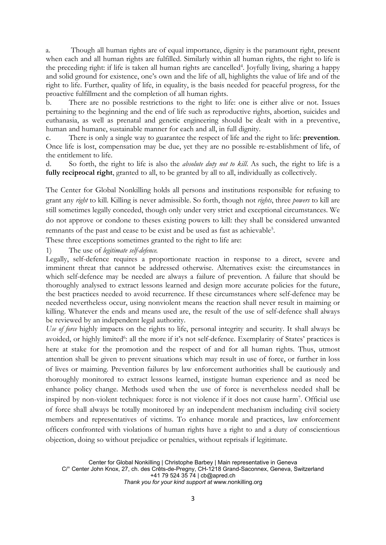a. Though all human rights are of equal importance, dignity is the paramount right, present when each and all human rights are fulfilled. Similarly within all human rights, the right to life is the preceding right: if life is taken all human rights are cancelled<sup>4</sup>. Joyfully living, sharing a happy and solid ground for existence, one'<sup>s</sup> own and the life of all, highlights the value of life and of the right to life. Further, quality of life, in equality, is the basis needed for peaceful progress, for the proactive fulfillment and the completion of all human rights.

b. There are no possible restrictions to the right to life: one is either alive or not. Issues pertaining to the beginning and the end of life such as reproductive rights, abortion, suicides and euthanasia, as well as prenatal and genetic engineering should be dealt with in <sup>a</sup> preventive, human and humane, sustainable manner for each and all, in full dignity.

c. There is only <sup>a</sup> single way to guarantee the respect of life and the right to life: **prevention**. Once life is lost, compensation may be due, ye<sup>t</sup> they are no possible re-establishment of life, of the entitlement to life.

d. So forth, the right to life is also the *absolute duty not to kill*. As such, the right to life is <sup>a</sup> **fully reciprocal right**, granted to all, to be granted by all to all, individually as collectively.

The Center for Global Nonkilling holds all persons and institutions responsible for refusing to grant any *right* to kill. Killing is never admissible. So forth, though not *rights*, three *powers* to kill are still sometimes legally conceded, though only under very strict and exceptional circumstances. We do not approve or condone to theses existing powers to kill: they shall be considered unwanted remnants of the past and cease to be exist and be used as fast as achievable 5 .

These three exceptions sometimes granted to the right to life are:

1) The use of *legitimate self-defence.*

Legally, self-defence requires <sup>a</sup> proportionate reaction in response to <sup>a</sup> direct, severe and imminent threat that cannot be addressed otherwise. Alternatives exist: the circumstances in which self-defence may be needed are always <sup>a</sup> failure of prevention. A failure that should be thoroughly analysed to extract lessons learned and design more accurate policies for the future, the best practices needed to avoid recurrence. If these circumstances where self-defence may be needed nevertheless occur, using nonviolent means the reaction shall never result in maiming or killing. Whatever the ends and means used are, the result of the use of self-defence shall always be reviewed by an independent legal authority.

*Use of force* highly impacts on the rights to life, personal integrity and security. It shall always be avoided, or highly limited<sup>6</sup>: all the more if it's not self-defence. Exemplarity of States' practices is here at stake for the promotion and the respect of and for all human rights. Thus, utmost attention shall be given to prevent situations which may result in use of force, or further in loss of lives or maiming. Prevention failures by law enforcement authorities shall be cautiously and thoroughly monitored to extract lessons learned, instigate human experience and as need be enhance policy change. Methods used when the use of force is nevertheless needed shall be inspired by non-violent techniques: force is not violence if it does not cause harm<sup>7</sup> . Official use of force shall always be totally monitored by an independent mechanism including civil society members and representatives of victims. To enhance morale and practices, law enforcement officers confronted with violations of human rights have <sup>a</sup> right to and <sup>a</sup> duty of conscientious objection, doing so without prejudice or penalties, without reprisals if legitimate.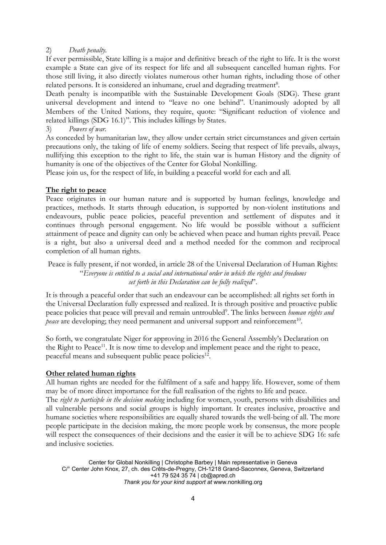## 2) *Death penalty.*

If ever permissible, State killing is <sup>a</sup> major and definitive breach of the right to life. It is the worst example <sup>a</sup> State can give of its respect for life and all subsequent cancelled human rights. For those still living, it also directly violates numerous other human rights, including those of other related persons. It is considered an inhumane, cruel and degrading treatment<sup>8</sup>.

Death penalty is incompatible with the Sustainable Development Goals (SDG). These grant universal development and intend to "leave no one behind". Unanimously adopted by all Members of the United Nations, they require, quote: "Significant reduction of violence and related killings (SDG 16.1)". This includes killings by States.

3) *Powers of war.*

As conceded by humanitarian law, they allow under certain strict circumstances and given certain precautions only, the taking of life of enemy soldiers. Seeing that respect of life prevails, always, nullifying this exception to the right to life, the stain war is human History and the dignity of humanity is one of the objectives of the Center for Global Nonkilling.

Please join us, for the respect of life, in building <sup>a</sup> peaceful world for each and all.

### **The right to peace**

Peace originates in our human nature and is supported by human feelings, knowledge and practices, methods. It starts through education, is supported by non-violent institutions and endeavours, public peace policies, peaceful prevention and settlement of disputes and it continues through personal engagement. No life would be possible without <sup>a</sup> sufficient attainment of peace and dignity can only be achieved when peace and human rights prevail. Peace is <sup>a</sup> right, but also <sup>a</sup> universal deed and <sup>a</sup> method needed for the common and reciprocal completion of all human rights.

Peace is fully present, if not worded, in article 28 of the Universal Declaration of Human Rights: "*Everyone is entitled to <sup>a</sup> social and international order in which the rights and freedoms set forth in this Declaration can be fully realized*".

It is through <sup>a</sup> peaceful order that such an endeavour can be accomplished: all rights set forth in the Universal Declaration fully expressed and realized. It is through positive and proactive public peace policies that peace will prevail and remain untroubled<sup>9</sup>. The links between *human rights and* peace are developing; they need permanent and universal support and reinforcement<sup>10</sup>.

So forth, we congratulate Niger for approving in 2016 the General Assembly'<sup>s</sup> Declaration on the Right to Peace<sup>11</sup>. It is now time to develop and implement peace and the right to peace, peaceful means and subsequent public peace policies<sup>12</sup>.

#### **Other related human rights**

All human rights are needed for the fulfilment of <sup>a</sup> safe and happy life. However, some of them may be of more direct importance for the full realisation of the rights to life and peace.

The *right to participle in the decision making* including for women, youth, persons with disabilities and all vulnerable persons and social groups is highly important. It creates inclusive, proactive and humane societies where responsibilities are equally shared towards the well-being of all. The more people participate in the decision making, the more people work by consensus, the more people will respect the consequences of their decisions and the easier it will be to achieve SDG 16: safe and inclusive societies.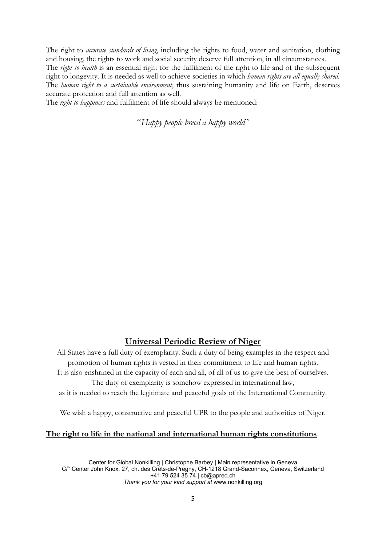The right to *accurate standards of living*, including the rights to food, water and sanitation, clothing and housing, the rights to work and social security deserve full attention, in all circumstances.

The *right to health* is an essential right for the fulfilment of the right to life and of the subsequent right to longevity. It is needed as well to achieve societies in which *human rights are all equally shared*. The *human right to <sup>a</sup> sustainable environment*, thus sustaining humanity and life on Earth, deserves accurate protection and full attention as well.

The *right to happiness* and fulfilment of life should always be mentioned:

"*Happy people breed <sup>a</sup> happy world*"

## **Universal Periodic Review of Niger**

All States have <sup>a</sup> full duty of exemplarity. Such <sup>a</sup> duty of being examples in the respect and promotion of human rights is vested in their commitment to life and human rights. It is also enshrined in the capacity of each and all, of all of us to give the best of ourselves. The duty of exemplarity is somehow expressed in international law, as it is needed to reach the legitimate and peaceful goals of the International Community.

We wish <sup>a</sup> happy, constructive and peaceful UPR to the people and authorities of Niger.

#### **The right to life in the national and international human rights constitutions**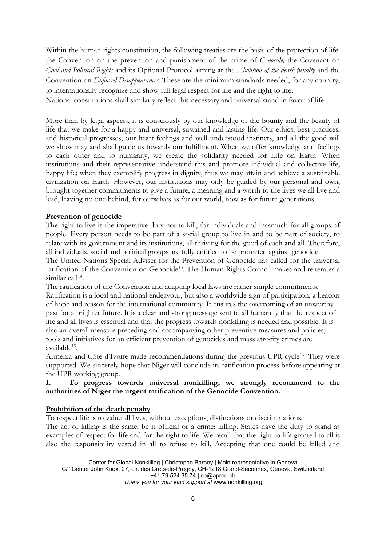Within the human rights constitution, the following treaties are the basis of the protection of life: the Convention on the prevention and punishment of the crime of *Genocide;* the Covenant on *Civil and Political Rights* and its Optional Protocol aiming at the *Abolition of the death penalty* and the Convention on *Enforced Disappearances*. These are the minimum standards needed, for any country, to internationally recognize and show full legal respect for life and the right to life.

National constitutions shall similarly reflect this necessary and universal stand in favor of life.

More than by legal aspects, it is consciously by our knowledge of the bounty and the beauty of life that we make for <sup>a</sup> happy and universal, sustained and lasting life. Our ethics, best practices, and historical progresses; our heart feelings and well understood instincts, and all the good will we show may and shall guide us towards our fulfillment. When we offer knowledge and feelings to each other and to humanity, we create the solidarity needed for Life on Earth. When institutions and their representative understand this and promote individual and collective life, happy life; when they exemplify progress in dignity, thus we may attain and achieve <sup>a</sup> sustainable civilization on Earth. However, our institutions may only be guided by our personal and own, brought together commitments to give <sup>a</sup> future, <sup>a</sup> meaning and <sup>a</sup> worth to the lives we all live and lead, leaving no one behind, for ourselves as for our world, now as for future generations.

### **Prevention of genocide**

The right to live is the imperative duty not to kill, for individuals and inasmuch for all groups of people. Every person needs to be part of <sup>a</sup> social group to live in and to be part of society, to relate with its government and its institutions, all thriving for the good of each and all. Therefore, all individuals, social and political groups are fully entitled to be protected against genocide.

The United Nations Special Adviser for the Prevention of Genocide has called for the universal ratification of the Convention on Genocide<sup>13</sup>. The Human Rights Council makes and reiterates a similar call<sup>14</sup>.

The ratification of the Convention and adapting local laws are rather simple commitments. Ratification is <sup>a</sup> local and national endeavour, but also <sup>a</sup> worldwide sign of participation, <sup>a</sup> beacon of hope and reason for the international community. It ensures the overcoming of an unworthy past for <sup>a</sup> brighter future. It is <sup>a</sup> clear and strong message sent to all humanity that the respect of life and all lives is essential and that the progress towards nonkilling is needed and possible. It is also an overall measure preceding and accompanying other preventive measures and policies; tools and initiatives for an efficient prevention of genocides and mass atrocity crimes are available<sup>15</sup> .

Armenia and Côte d'Ivoire made recommendations during the previous UPR cycle<sup>16</sup>. They were supported. We sincerely hope that Niger will conclude its ratification process before appearing at the UPR working group.

# **I. To progress towards universal nonkilling, we strongly recommend to the authorities of Niger the urgent ratification of the Genocide Convention.**

### **Prohibition of the death penalty**

To respect life is to value all lives, without exceptions, distinctions or discriminations.

The act of killing is the same, be it official or <sup>a</sup> crime: killing. States have the duty to stand as examples of respect for life and for the right to life. We recall that the right to life granted to all is also the responsibility vested in all to refuse to kill. Accepting that one could be killed and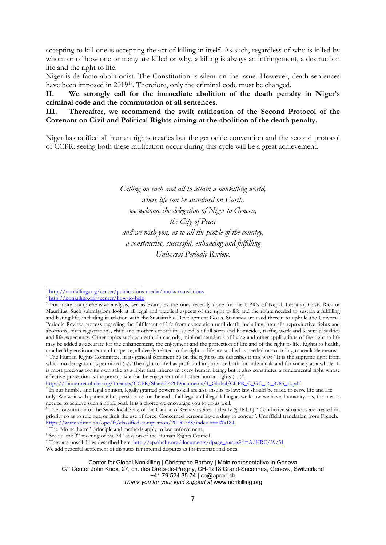accepting to kill one is accepting the act of killing in itself. As such, regardless of who is killed by whom or of how one or many are killed or why, <sup>a</sup> killing is always an infringement, <sup>a</sup> destruction life and the right to life.

Niger is de facto abolitionist. The Constitution is silent on the issue. However, death sentences have been imposed in 2019<sup>17</sup>. Therefore, only the criminal code must be changed.

**II. We strongly call for the immediate abolition of the death penalty in Niger'<sup>s</sup> criminal code and the commutation of all sentences.**

**III. Thereafter, we recommend the swift ratification of the Second Protocol of the Covenant on Civil and Political Rights aiming at the abolition of the death penalty.**

Niger has ratified all human rights treaties but the genocide convention and the second protocol of CCPR: seeing both these ratification occur during this cycle will be <sup>a</sup> great achievement.

> *Calling on each and all to attain <sup>a</sup> nonkilling world, where life can be sustained on Earth, we welcome the delegation of Niger to Geneva, the City of Peace and we wish you, as to all the people of the country, <sup>a</sup> constructive, successful, enhancing and fulfilling Universal Periodic Review.*

[https://tbinternet.ohchr.org/Treaties/CCPR/Shared%20Documents/1\\_Global/CCPR\\_C\\_GC\\_36\\_8785\\_E.pdf](https://tbinternet.ohchr.org/Treaties/CCPR/Shared%20Documents/1_Global/CCPR_C_GC_36_8785_E.pdf)

We add peaceful settlement of disputes for internal disputes as for international ones.

*Thank you for your kind support at* [www.nonkilling.org](http://www.nonkilling.org)

<sup>&</sup>lt;sup>1</sup> <http://nonkilling.org/center/publications-media/books-translations>

<sup>&</sup>lt;sup>2</sup> <http://nonkilling.org/center/how-to-help>

<sup>&</sup>lt;sup>3</sup> For more comprehensive analysis, see as examples the ones recently done for the UPR's of Nepal, Lesotho, Costa Rica or Mauritius. Such submissions look at all legal and practical aspects of the right to life and the rights needed to sustain <sup>a</sup> fulfilling and lasting life, including in relation with the Sustainable Development Goals. Statistics are used therein to uphold the Universal Periodic Review process regarding the fulfilment of life from conception until death, including inter alia reproductive rights and abortions, birth registrations, child and mother'<sup>s</sup> mortality, suicides of all sorts and homicides, traffic, work and leisure casualties and life expectancy. Other topics such as deaths in custody, minimal standards of living and other applications of the right to life may be added as accurate for the enhancement, the enjoyment and the protection of life and of the right to life. Rights to health, to <sup>a</sup> healthy environment and to peace, all deeply related to the right to life are studied as needed or according to available means.

<sup>4</sup> The Human Rights Committee, in its general comment 36 on the right to life describes it this way: "It is the supreme right from which no derogation is permitted (...). The right to life has profound importance both for individuals and for society as <sup>a</sup> whole. It is most precious for its own sake as <sup>a</sup> right that inheres in every human being, but it also constitutes <sup>a</sup> fundamental right whose effective protection is the prerequisite for the enjoyment of all other human rights (…)".

<sup>&</sup>lt;sup>5</sup> In our humble and legal opinion, legally granted powers to kill are also insults to law: law should be made to serve life and life only. We wait with patience but persistence for the end of all legal and illegal killing as we know we have, humanity has, the means needed to achieve such <sup>a</sup> noble goal. It is <sup>a</sup> choice we encourage you to do as well.

<sup>&</sup>lt;sup>6</sup> The constitution of the Swiss local State of the Canton of Geneva states it clearly (§ 184.3.): "Conflictive situations are treated in priority so as to rule out, or limit the use of force. Concerned persons have <sup>a</sup> duty to concur". Unofficial translation from French. <https://www.admin.ch/opc/fr/classified-compilation/20132788/index.html#a184>

<sup>7</sup> The "do no harm" principle and methods apply to law enforcement.

<sup>&</sup>lt;sup>8</sup> See i.e. the 9<sup>th</sup> meeting of the 34<sup>th</sup> session of the Human Rights Council.

<sup>&</sup>lt;sup>9</sup> They are possibilities described here: [http://ap.ohchr.org/documents/dpage\\_e.aspx?si=A/HRC/39/31](http://ap.ohchr.org/documents/dpage_e.aspx?si=A/HRC/39/31)

Center for Global Nonkilling | Christophe Barbey | Main representative in Geneva C/° Center John Knox, 27, ch. des Crêts-de-Pregny, CH-1218 Grand-Saconnex, Geneva, Switzerland

<sup>+41</sup> 79 524 35 74 | [cb@apred.ch](mailto:cb@apred.ch)